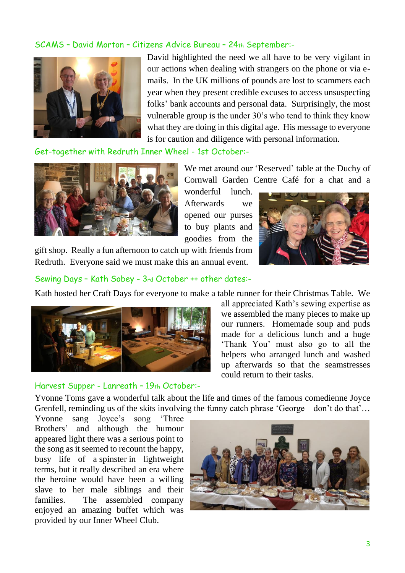#### SCAMS – David Morton – Citizens Advice Bureau – 24th September:-



David highlighted the need we all have to be very vigilant in our actions when dealing with strangers on the phone or via emails. In the UK millions of pounds are lost to scammers each year when they present credible excuses to access unsuspecting folks' bank accounts and personal data. Surprisingly, the most vulnerable group is the under 30's who tend to think they know what they are doing in this digital age. His message to everyone is for caution and diligence with personal information.

Get-together with Redruth Inner Wheel - 1st October:-



We met around our 'Reserved' table at the Duchy of Cornwall Garden Centre Café for a chat and a

wonderful lunch. Afterwards we opened our purses to buy plants and goodies from the

gift shop. Really a fun afternoon to catch up with friends from Redruth. Everyone said we must make this an annual event.



Sewing Days – Kath Sobey - 3rd October ++ other dates:-

Kath hosted her Craft Days for everyone to make a table runner for their Christmas Table. We



#### Harvest Supper - Lanreath – 19th October:-

all appreciated Kath's sewing expertise as we assembled the many pieces to make up our runners. Homemade soup and puds made for a delicious lunch and a huge 'Thank You' must also go to all the helpers who arranged lunch and washed up afterwards so that the seamstresses could return to their tasks.

Yvonne Toms gave a wonderful talk about the life and times of the famous comedienne Joyce Grenfell, reminding us of the skits involving the funny catch phrase 'George – don't do that'...

Yvonne sang Joyce's song 'Three Brothers' and although the humour appeared light there was a serious point to the song as it seemed to recount the happy, busy life of a [spinster](https://en.wikipedia.org/wiki/Spinster) in lightweight terms, but it really described an era where the heroine would have been a willing slave to her male siblings and their families. The assembled company enjoyed an amazing buffet which was provided by our Inner Wheel Club.

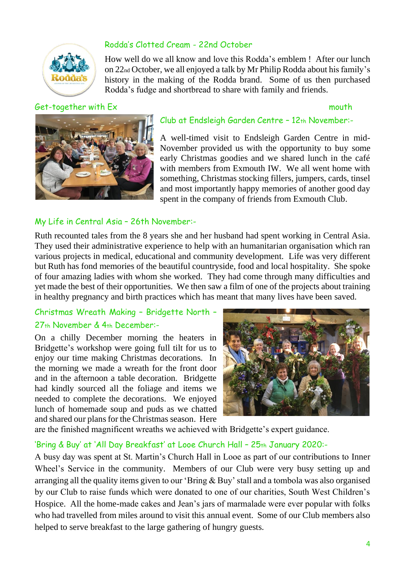

## Rodda's Clotted Cream - 22nd October

How well do we all know and love this Rodda's emblem ! After our lunch on 22nd October, we all enjoyed a talk by Mr Philip Rodda about his family's history in the making of the Rodda brand. Some of us then purchased Rodda's fudge and shortbread to share with family and friends.

#### Get-together with Ex mouth



#### Club at Endsleigh Garden Centre – 12th November:-

A well-timed visit to Endsleigh Garden Centre in mid-November provided us with the opportunity to buy some early Christmas goodies and we shared lunch in the café with members from Exmouth IW. We all went home with something, Christmas stocking fillers, jumpers, cards, tinsel and most importantly happy memories of another good day spent in the company of friends from Exmouth Club.

#### My Life in Central Asia – 26th November:-

Ruth recounted tales from the 8 years she and her husband had spent working in Central Asia. They used their administrative experience to help with an humanitarian organisation which ran various projects in medical, educational and community development. Life was very different but Ruth has fond memories of the beautiful countryside, food and local hospitality. She spoke of four amazing ladies with whom she worked. They had come through many difficulties and yet made the best of their opportunities. We then saw a film of one of the projects about training in healthy pregnancy and birth practices which has meant that many lives have been saved.

# Christmas Wreath Making – Bridgette North –

#### 27th November & 4th December:-

On a chilly December morning the heaters in Bridgette's workshop were going full tilt for us to enjoy our time making Christmas decorations. In the morning we made a wreath for the front door and in the afternoon a table decoration. Bridgette had kindly sourced all the foliage and items we needed to complete the decorations. We enjoyed lunch of homemade soup and puds as we chatted and shared our plans for the Christmas season. Here



are the finished magnificent wreaths we achieved with Bridgette's expert guidance.

## 'Bring & Buy' at 'All Day Breakfast' at Looe Church Hall - 25th January 2020:-

A busy day was spent at St. Martin's Church Hall in Looe as part of our contributions to Inner Wheel's Service in the community. Members of our Club were very busy setting up and arranging all the quality items given to our 'Bring & Buy' stall and a tombola was also organised by our Club to raise funds which were donated to one of our charities, South West Children's Hospice. All the home-made cakes and Jean's jars of marmalade were ever popular with folks who had travelled from miles around to visit this annual event. Some of our Club members also helped to serve breakfast to the large gathering of hungry guests.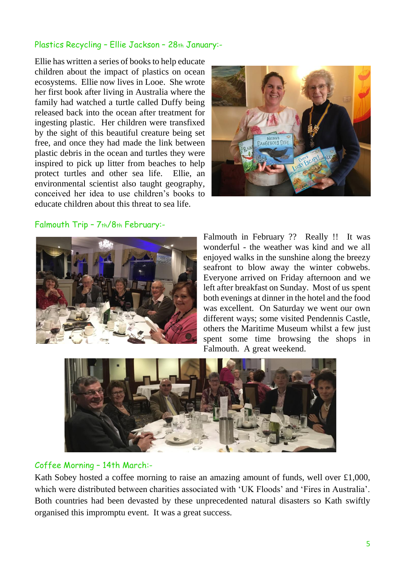### Plastics Recycling – Ellie Jackson – 28th January:-

Ellie has written a series of books to help educate children about the impact of plastics on ocean ecosystems. Ellie now lives in Looe. She wrote her first book after living in Australia where the family had watched a turtle called Duffy being released back into the ocean after treatment for ingesting plastic. Her children were transfixed by the sight of this beautiful creature being set free, and once they had made the link between plastic debris in the ocean and turtles they were inspired to pick up litter from beaches to help protect turtles and other sea life. Ellie, an environmental scientist also taught geography, conceived her idea to use children's books to educate children about this threat to sea life.



#### Falmouth Trip – 7th/8th February:-



Falmouth in February ?? Really !! It was wonderful - the weather was kind and we all enjoyed walks in the sunshine along the breezy seafront to blow away the winter cobwebs. Everyone arrived on Friday afternoon and we left after breakfast on Sunday. Most of us spent both evenings at dinner in the hotel and the food was excellent. On Saturday we went our own different ways; some visited Pendennis Castle, others the Maritime Museum whilst a few just spent some time browsing the shops in Falmouth. A great weekend.



#### Coffee Morning – 14th March:-

Kath Sobey hosted a coffee morning to raise an amazing amount of funds, well over £1,000, which were distributed between charities associated with 'UK Floods' and 'Fires in Australia'. Both countries had been devasted by these unprecedented natural disasters so Kath swiftly organised this impromptu event. It was a great success.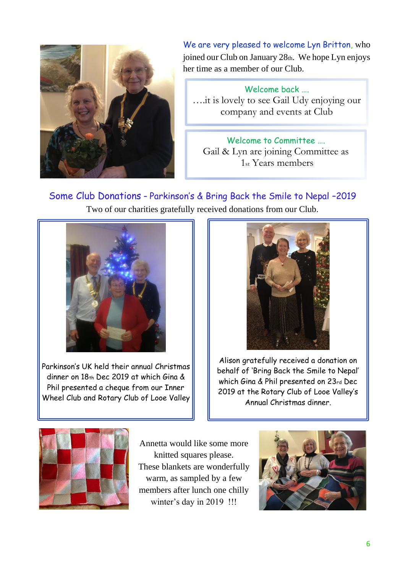

We are very pleased to welcome Lyn Britton, who joined our Club on January  $28<sub>th</sub>$ . We hope Lyn enjoys her time as a member of our Club.

Welcome back …. ….it is lovely to see Gail Udy enjoying our company and events at Club

Welcome to Committee …. Gail & Lyn are joining Committee as 1st Years members

Some Club Donations – Parkinson's & Bring Back the Smile to Nepal –2019 Two of our charities gratefully received donations from our Club.



Parkinson's UK held their annual Christmas dinner on 18th Dec 2019 at which Gina & Phil presented a cheque from our Inner Wheel Club and Rotary Club of Looe Valley



Alison gratefully received a donation on behalf of 'Bring Back the Smile to Nepal' which Gina & Phil presented on 23rd Dec 2019 at the Rotary Club of Looe Valley's Annual Christmas dinner.



Annetta would like some more knitted squares please. These blankets are wonderfully warm, as sampled by a few members after lunch one chilly winter's day in 2019 !!!